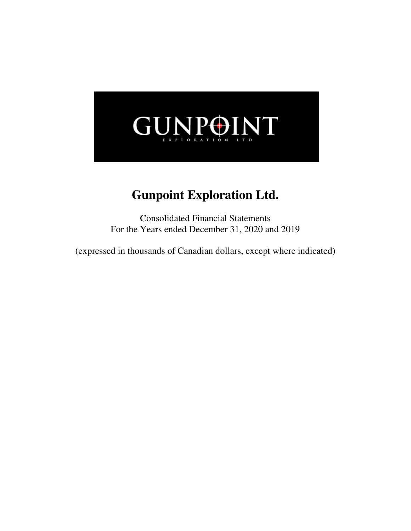

Consolidated Financial Statements For the Years ended December 31, 2020 and 2019

(expressed in thousands of Canadian dollars, except where indicated)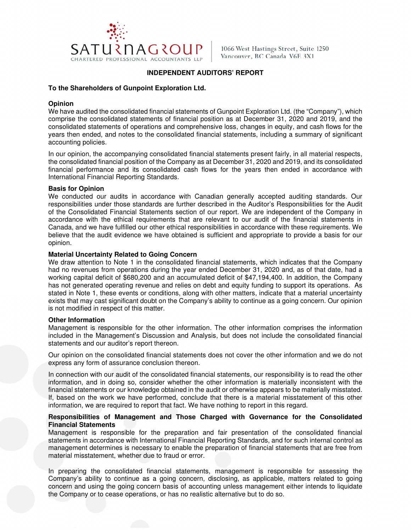

### **INDEPENDENT AUDITORS' REPORT**

### **To the Shareholders of Gunpoint Exploration Ltd.**

### **Opinion**

We have audited the consolidated financial statements of Gunpoint Exploration Ltd. (the "Company"), which comprise the consolidated statements of financial position as at December 31, 2020 and 2019, and the consolidated statements of operations and comprehensive loss, changes in equity, and cash flows for the years then ended, and notes to the consolidated financial statements, including a summary of significant accounting policies.

In our opinion, the accompanying consolidated financial statements present fairly, in all material respects, the consolidated financial position of the Company as at December 31, 2020 and 2019, and its consolidated financial performance and its consolidated cash flows for the years then ended in accordance with International Financial Reporting Standards.

### **Basis for Opinion**

We conducted our audits in accordance with Canadian generally accepted auditing standards. Our responsibilities under those standards are further described in the Auditor's Responsibilities for the Audit of the Consolidated Financial Statements section of our report. We are independent of the Company in accordance with the ethical requirements that are relevant to our audit of the financial statements in Canada, and we have fulfilled our other ethical responsibilities in accordance with these requirements. We believe that the audit evidence we have obtained is sufficient and appropriate to provide a basis for our opinion.

### **Material Uncertainty Related to Going Concern**

We draw attention to Note 1 in the consolidated financial statements, which indicates that the Company had no revenues from operations during the year ended December 31, 2020 and, as of that date, had a working capital deficit of \$680,200 and an accumulated deficit of \$47,194,400. In addition, the Company has not generated operating revenue and relies on debt and equity funding to support its operations. As stated in Note 1, these events or conditions, along with other matters, indicate that a material uncertainty exists that may cast significant doubt on the Company's ability to continue as a going concern. Our opinion is not modified in respect of this matter.

### **Other Information**

Management is responsible for the other information. The other information comprises the information included in the Management's Discussion and Analysis, but does not include the consolidated financial statements and our auditor's report thereon.

Our opinion on the consolidated financial statements does not cover the other information and we do not express any form of assurance conclusion thereon.

In connection with our audit of the consolidated financial statements, our responsibility is to read the other information, and in doing so, consider whether the other information is materially inconsistent with the financial statements or our knowledge obtained in the audit or otherwise appears to be materially misstated. If, based on the work we have performed, conclude that there is a material misstatement of this other information, we are required to report that fact. We have nothing to report in this regard.

### **Responsibilities of Management and Those Charged with Governance for the Consolidated Financial Statements**

Management is responsible for the preparation and fair presentation of the consolidated financial statements in accordance with International Financial Reporting Standards, and for such internal control as management determines is necessary to enable the preparation of financial statements that are free from material misstatement, whether due to fraud or error.

In preparing the consolidated financial statements, management is responsible for assessing the Company's ability to continue as a going concern, disclosing, as applicable, matters related to going concern and using the going concern basis of accounting unless management either intends to liquidate the Company or to cease operations, or has no realistic alternative but to do so.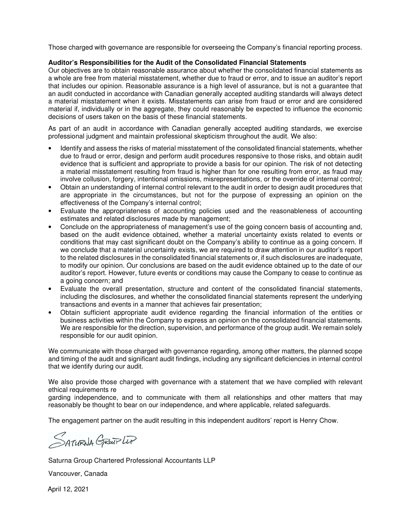Those charged with governance are responsible for overseeing the Company's financial reporting process.

### **Auditor's Responsibilities for the Audit of the Consolidated Financial Statements**

Our objectives are to obtain reasonable assurance about whether the consolidated financial statements as a whole are free from material misstatement, whether due to fraud or error, and to issue an auditor's report that includes our opinion. Reasonable assurance is a high level of assurance, but is not a guarantee that an audit conducted in accordance with Canadian generally accepted auditing standards will always detect a material misstatement when it exists. Misstatements can arise from fraud or error and are considered material if, individually or in the aggregate, they could reasonably be expected to influence the economic decisions of users taken on the basis of these financial statements.

As part of an audit in accordance with Canadian generally accepted auditing standards, we exercise professional judgment and maintain professional skepticism throughout the audit. We also:

- Identify and assess the risks of material misstatement of the consolidated financial statements, whether due to fraud or error, design and perform audit procedures responsive to those risks, and obtain audit evidence that is sufficient and appropriate to provide a basis for our opinion. The risk of not detecting a material misstatement resulting from fraud is higher than for one resulting from error, as fraud may involve collusion, forgery, intentional omissions, misrepresentations, or the override of internal control;
- Obtain an understanding of internal control relevant to the audit in order to design audit procedures that are appropriate in the circumstances, but not for the purpose of expressing an opinion on the effectiveness of the Company's internal control;
- Evaluate the appropriateness of accounting policies used and the reasonableness of accounting estimates and related disclosures made by management;
- Conclude on the appropriateness of management's use of the going concern basis of accounting and, based on the audit evidence obtained, whether a material uncertainty exists related to events or conditions that may cast significant doubt on the Company's ability to continue as a going concern. If we conclude that a material uncertainty exists, we are required to draw attention in our auditor's report to the related disclosures in the consolidated financial statements or, if such disclosures are inadequate, to modify our opinion. Our conclusions are based on the audit evidence obtained up to the date of our auditor's report. However, future events or conditions may cause the Company to cease to continue as a going concern; and
- Evaluate the overall presentation, structure and content of the consolidated financial statements, including the disclosures, and whether the consolidated financial statements represent the underlying transactions and events in a manner that achieves fair presentation;
- Obtain sufficient appropriate audit evidence regarding the financial information of the entities or business activities within the Company to express an opinion on the consolidated financial statements. We are responsible for the direction, supervision, and performance of the group audit. We remain solely responsible for our audit opinion.

We communicate with those charged with governance regarding, among other matters, the planned scope and timing of the audit and significant audit findings, including any significant deficiencies in internal control that we identify during our audit.

We also provide those charged with governance with a statement that we have complied with relevant ethical requirements re

garding independence, and to communicate with them all relationships and other matters that may reasonably be thought to bear on our independence, and where applicable, related safeguards.

The engagement partner on the audit resulting in this independent auditors' report is Henry Chow.

SATURNA GROUP LUP

Saturna Group Chartered Professional Accountants LLP

Vancouver, Canada

April 12, 2021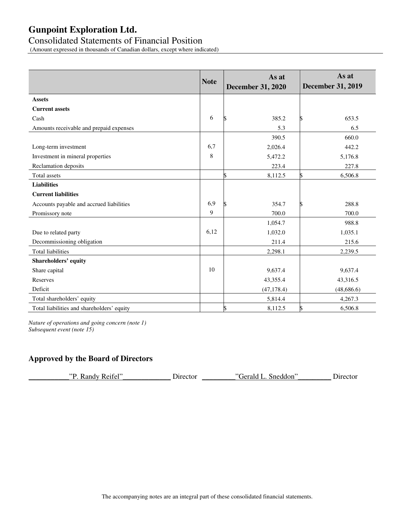### Consolidated Statements of Financial Position

(Amount expressed in thousands of Canadian dollars, except where indicated)

|                                            | <b>Note</b> | As at                    | As at                    |
|--------------------------------------------|-------------|--------------------------|--------------------------|
|                                            |             | <b>December 31, 2020</b> | <b>December 31, 2019</b> |
| <b>Assets</b>                              |             |                          |                          |
| <b>Current assets</b>                      |             |                          |                          |
| Cash                                       | 6           | 385.2                    | 653.5                    |
| Amounts receivable and prepaid expenses    |             | 5.3                      | 6.5                      |
|                                            |             | 390.5                    | 660.0                    |
| Long-term investment                       | 6,7         | 2,026.4                  | 442.2                    |
| Investment in mineral properties           | 8           | 5,472.2                  | 5,176.8                  |
| Reclamation deposits                       |             | 223.4                    | 227.8                    |
| Total assets                               |             | \$<br>8,112.5            | \$<br>6,506.8            |
| <b>Liabilities</b>                         |             |                          |                          |
| <b>Current liabilities</b>                 |             |                          |                          |
| Accounts payable and accrued liabilities   | 6,9         | 354.7                    | 288.8                    |
| Promissory note                            | 9           | 700.0                    | 700.0                    |
|                                            |             | 1,054.7                  | 988.8                    |
| Due to related party                       | 6,12        | 1,032.0                  | 1,035.1                  |
| Decommissioning obligation                 |             | 211.4                    | 215.6                    |
| <b>Total liabilities</b>                   |             | 2,298.1                  | 2,239.5                  |
| <b>Shareholders' equity</b>                |             |                          |                          |
| Share capital                              | 10          | 9,637.4                  | 9,637.4                  |
| Reserves                                   |             | 43,355.4                 | 43,316.5                 |
| Deficit                                    |             | (47, 178.4)              | (48, 686.6)              |
| Total shareholders' equity                 |             | 5,814.4                  | 4,267.3                  |
| Total liabilities and shareholders' equity |             | \$<br>8,112.5            | \$<br>6,506.8            |

*Nature of operations and going concern (note 1) Subsequent event (note 15)* 

### **Approved by the Board of Directors**

| ''L<br>Randy | Reifel" | Jirector | ,,,<br>sneddon<br>$ \alpha$ ro $-$ | $n r \rho$<br>∍etor |
|--------------|---------|----------|------------------------------------|---------------------|
|              |         |          |                                    |                     |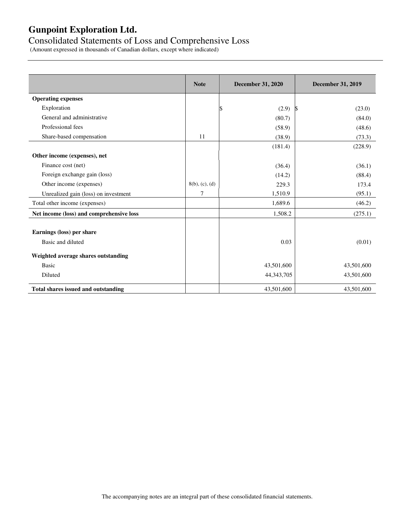### Consolidated Statements of Loss and Comprehensive Loss

(Amount expressed in thousands of Canadian dollars, except where indicated)

|                                                | <b>Note</b>       | <b>December 31, 2020</b> | <b>December 31, 2019</b> |
|------------------------------------------------|-------------------|--------------------------|--------------------------|
| <b>Operating expenses</b>                      |                   |                          |                          |
| Exploration                                    |                   | (2.9)<br>\$              | (23.0)<br>К              |
| General and administrative                     |                   | (80.7)                   | (84.0)                   |
| Professional fees                              |                   | (58.9)                   | (48.6)                   |
| Share-based compensation                       | 11                | (38.9)                   | (73.3)                   |
|                                                |                   | (181.4)                  | (228.9)                  |
| Other income (expenses), net                   |                   |                          |                          |
| Finance cost (net)                             |                   | (36.4)                   | (36.1)                   |
| Foreign exchange gain (loss)                   |                   | (14.2)                   | (88.4)                   |
| Other income (expenses)                        | $8(b)$ , (c), (d) | 229.3                    | 173.4                    |
| Unrealized gain (loss) on investment           | 7                 | 1,510.9                  | (95.1)                   |
| Total other income (expenses)                  |                   | 1,689.6                  | (46.2)                   |
| Net income (loss) and comprehensive loss       |                   | 1,508.2                  | (275.1)                  |
| Earnings (loss) per share<br>Basic and diluted |                   | 0.03                     | (0.01)                   |
| Weighted average shares outstanding            |                   |                          |                          |
| <b>Basic</b>                                   |                   | 43,501,600               | 43,501,600               |
| Diluted                                        |                   | 44, 343, 705             | 43,501,600               |
| <b>Total shares issued and outstanding</b>     |                   | 43,501,600               | 43,501,600               |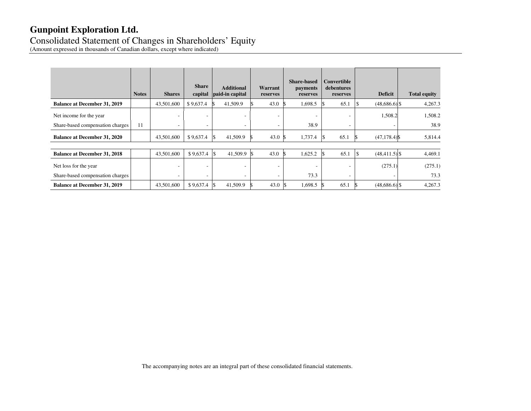# Consolidated Statement of Changes in Shareholders' Equity (Amount expressed in thousands of Canadian dollars, except where indicated)

|                                     | <b>Notes</b> | <b>Shares</b> | <b>Share</b><br>capital |     | <b>Additional</b><br>paid-in capital | Warrant<br>reserves | <b>Share-based</b><br><i>payments</i><br>reserves |     | Convertible<br>debentures<br>reserves | <b>Deficit</b>   | <b>Total equity</b> |
|-------------------------------------|--------------|---------------|-------------------------|-----|--------------------------------------|---------------------|---------------------------------------------------|-----|---------------------------------------|------------------|---------------------|
| <b>Balance at December 31, 2019</b> |              | 43,501,600    | \$9,637.4               |     | 41,509.9                             | 43.0                | 1,698.5                                           |     | 65.1                                  | $(48,686.6)$ \$  | 4,267.3             |
| Net income for the year             |              |               | ٠                       |     |                                      | ٠                   | $\overline{\phantom{a}}$                          |     |                                       | 1,508.2          | 1,508.2             |
| Share-based compensation charges    | 11           | ٠             | ۰                       |     | ۰                                    | ۰                   | 38.9                                              |     | $\sim$                                |                  | 38.9                |
| <b>Balance at December 31, 2020</b> |              | 43,501,600    | \$9,637.4               | ß.  | 41,509.9                             | 43.0                | 1,737.4                                           | l\$ | 65.1                                  | $(47, 178.4)$ \$ | 5,814.4             |
|                                     |              |               |                         |     |                                      |                     |                                                   |     |                                       |                  |                     |
| <b>Balance at December 31, 2018</b> |              | 43,501,600    | \$9,637.4               | ß.  | 41,509.9 \$                          | 43.0                | 1,625.2                                           |     | 65.1                                  | $(48, 411.5)$ \$ | 4,469.1             |
| Net loss for the year               |              | ۰             | ۰                       |     |                                      | ۰                   | $\overline{\phantom{a}}$                          |     |                                       | (275.1)          | (275.1)             |
| Share-based compensation charges    |              | ٠             | ۰                       |     | ۰                                    | ۰                   | 73.3                                              |     | ٠                                     |                  | 73.3                |
| <b>Balance at December 31, 2019</b> |              | 43,501,600    | \$9,637.4               | I\$ | 41,509.9                             | 43.0                | 1,698.5                                           |     | 65.1                                  | $(48,686.6)$ \$  | 4,267.3             |

The accompanying notes are an integral part of these consolidated financial statements.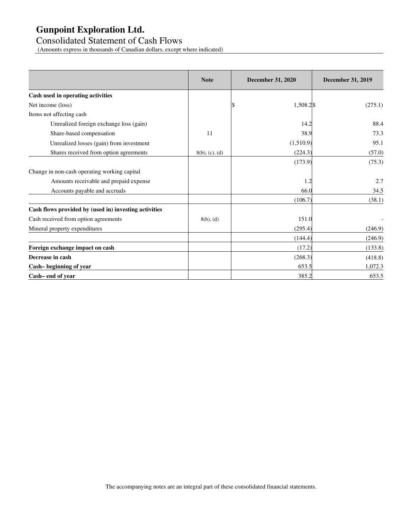### Consolidated Statement of Cash Flows

(Amounts express in thousands of Canadian dollars, except where indicated)

|                                                       | <b>Note</b>    | <b>December 31, 2020</b> | <b>December 31, 2019</b> |
|-------------------------------------------------------|----------------|--------------------------|--------------------------|
| Cash used in operating activities                     |                |                          |                          |
| Net income (loss)                                     |                | 1,508.2\$                | (275.1)                  |
| Items not affecting cash                              |                |                          |                          |
| Unrealized foreign exchange loss (gain)               |                | 14.2                     | 88.4                     |
| Share-based compensation                              | 11             | 38.9                     | 73.3                     |
| Unrealized losses (gain) from investment              |                | (1,510.9)                | 95.1                     |
| Shares received from option agreements                | 8(b), (c), (d) | (224.3)                  | (57.0)                   |
|                                                       |                | (173.9)                  | (75.3)                   |
| Change in non-cash operating working capital          |                |                          |                          |
| Amounts receivable and prepaid expense                |                | 1.2                      | 2.7                      |
| Accounts payable and accruals                         |                | 66.0                     | 34.5                     |
|                                                       |                | (106.7)                  | (38.1)                   |
| Cash flows provided by (used in) investing activities |                |                          |                          |
| Cash received from option agreements                  | $8(b)$ , (d)   | 151.0                    |                          |
| Mineral property expenditures                         |                | (295.4)                  | (246.9)                  |
|                                                       |                | (144.4)                  | (246.9)                  |
| Foreign exchange impact on cash                       |                | (17.2)                   | (133.8)                  |
| Decrease in cash                                      |                | (268.3)                  | (418.8)                  |
| Cash-beginning of year                                |                | 653.5                    | 1,072.3                  |
| Cash-end of year                                      |                | 385.2                    | 653.5                    |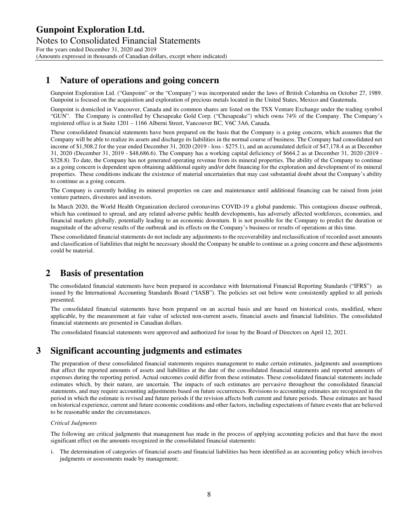### **1 Nature of operations and going concern**

Gunpoint Exploration Ltd. ("Gunpoint" or the "Company") was incorporated under the laws of British Columbia on October 27, 1989. Gunpoint is focused on the acquisition and exploration of precious metals located in the United States, Mexico and Guatemala.

Gunpoint is domiciled in Vancouver, Canada and its common shares are listed on the TSX Venture Exchange under the trading symbol "GUN". The Company is controlled by Chesapeake Gold Corp. ("Chesapeake") which owns 74% of the Company. The Company's registered office is at Suite 1201 – 1166 Alberni Street, Vancouver BC, V6C 3A6, Canada.

These consolidated financial statements have been prepared on the basis that the Company is a going concern, which assumes that the Company will be able to realize its assets and discharge its liabilities in the normal course of business. The Company had consolidated net income of \$1,508.2 for the year ended December 31, 2020 (2019 - loss - \$275.1), and an accumulated deficit of \$47,178.4 as at December 31, 2020 (December 31, 2019 - \$48,686.6). The Company has a working capital deficiency of \$664.2 as at December 31, 2020 (2019 - \$328.8). To date, the Company has not generated operating revenue from its mineral properties. The ability of the Company to continue as a going concern is dependent upon obtaining additional equity and/or debt financing for the exploration and development of its mineral properties. These conditions indicate the existence of material uncertainties that may cast substantial doubt about the Company's ability to continue as a going concern.

The Company is currently holding its mineral properties on care and maintenance until additional financing can be raised from joint venture partners, divestures and investors.

In March 2020, the World Health Organization declared coronavirus COVID-19 a global pandemic. This contagious disease outbreak, which has continued to spread, and any related adverse public health developments, has adversely affected workforces, economies, and financial markets globally, potentially leading to an economic downturn. It is not possible for the Company to predict the duration or magnitude of the adverse results of the outbreak and its effects on the Company's business or results of operations at this time.

These consolidated financial statements do not include any adjustments to the recoverability and reclassification of recorded asset amounts and classification of liabilities that might be necessary should the Company be unable to continue as a going concern and these adjustments could be material.

### **2 Basis of presentation**

 The consolidated financial statements have been prepared in accordance with International Financial Reporting Standards ("IFRS") as issued by the International Accounting Standards Board ("IASB"). The policies set out below were consistently applied to all periods presented.

The consolidated financial statements have been prepared on an accrual basis and are based on historical costs, modified, where applicable, by the measurement at fair value of selected non-current assets, financial assets and financial liabilities. The consolidated financial statements are presented in Canadian dollars.

The consolidated financial statements were approved and authorized for issue by the Board of Directors on April 12, 2021.

### **3 Significant accounting judgments and estimates**

The preparation of these consolidated financial statements requires management to make certain estimates, judgments and assumptions that affect the reported amounts of assets and liabilities at the date of the consolidated financial statements and reported amounts of expenses during the reporting period. Actual outcomes could differ from these estimates. These consolidated financial statements include estimates which, by their nature, are uncertain. The impacts of such estimates are pervasive throughout the consolidated financial statements, and may require accounting adjustments based on future occurrences. Revisions to accounting estimates are recognized in the period in which the estimate is revised and future periods if the revision affects both current and future periods. These estimates are based on historical experience, current and future economic conditions and other factors, including expectations of future events that are believed to be reasonable under the circumstances.

### *Critical Judgments*

The following are critical judgments that management has made in the process of applying accounting policies and that have the most significant effect on the amounts recognized in the consolidated financial statements:

i. The determination of categories of financial assets and financial liabilities has been identified as an accounting policy which involves judgments or assessments made by management;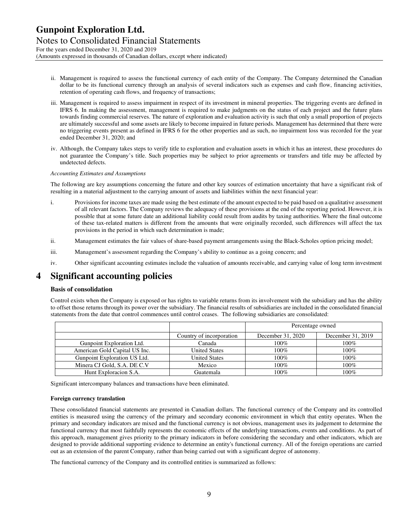Notes to Consolidated Financial Statements For the years ended December 31, 2020 and 2019 (Amounts expressed in thousands of Canadian dollars, except where indicated)

- ii. Management is required to assess the functional currency of each entity of the Company. The Company determined the Canadian dollar to be its functional currency through an analysis of several indicators such as expenses and cash flow, financing activities, retention of operating cash flows, and frequency of transactions;
- iii. Management is required to assess impairment in respect of its investment in mineral properties. The triggering events are defined in IFRS 6. In making the assessment, management is required to make judgments on the status of each project and the future plans towards finding commercial reserves. The nature of exploration and evaluation activity is such that only a small proportion of projects are ultimately successful and some assets are likely to become impaired in future periods. Management has determined that there were no triggering events present as defined in IFRS 6 for the other properties and as such, no impairment loss was recorded for the year ended December 31, 2020; and
- iv. Although, the Company takes steps to verify title to exploration and evaluation assets in which it has an interest, these procedures do not guarantee the Company's title. Such properties may be subject to prior agreements or transfers and title may be affected by undetected defects.

#### *Accounting Estimates and Assumptions*

The following are key assumptions concerning the future and other key sources of estimation uncertainty that have a significant risk of resulting in a material adjustment to the carrying amount of assets and liabilities within the next financial year:

- i. Provisions for income taxes are made using the best estimate of the amount expected to be paid based on a qualitative assessment of all relevant factors. The Company reviews the adequacy of these provisions at the end of the reporting period. However, it is possible that at some future date an additional liability could result from audits by taxing authorities. Where the final outcome of these tax-related matters is different from the amounts that were originally recorded, such differences will affect the tax provisions in the period in which such determination is made;
- ii. Management estimates the fair values of share-based payment arrangements using the Black-Scholes option pricing model;
- iii. Management's assessment regarding the Company's ability to continue as a going concern; and
- iv. Other significant accounting estimates include the valuation of amounts receivable, and carrying value of long term investment

### **4 Significant accounting policies**

### **Basis of consolidation**

Control exists when the Company is exposed or has rights to variable returns from its involvement with the subsidiary and has the ability to offset those returns through its power over the subsidiary. The financial results of subsidiaries are included in the consolidated financial statements from the date that control commences until control ceases. The following subsidiaries are consolidated:

|                               |                          | Percentage owned  |                   |
|-------------------------------|--------------------------|-------------------|-------------------|
|                               | Country of incorporation | December 31, 2020 | December 31, 2019 |
| Gunpoint Exploration Ltd.     | Canada                   | 100%              | $100\%$           |
| American Gold Capital US Inc. | <b>United States</b>     | 100%              | $100\%$           |
| Gunpoint Exploration US Ltd.  | <b>United States</b>     | 100%              | $100\%$           |
| Minera CJ Gold, S.A. DE C.V   | Mexico                   | 100%              | $100\%$           |
| Hunt Exploracion S.A.         | Guatemala                | 100%              | 100%              |

Significant intercompany balances and transactions have been eliminated.

#### **Foreign currency translation**

These consolidated financial statements are presented in Canadian dollars. The functional currency of the Company and its controlled entities is measured using the currency of the primary and secondary economic environment in which that entity operates. When the primary and secondary indicators are mixed and the functional currency is not obvious, management uses its judgement to determine the functional currency that most faithfully represents the economic effects of the underlying transactions, events and conditions. As part of this approach, management gives priority to the primary indicators in before considering the secondary and other indicators, which are designed to provide additional supporting evidence to determine an entity's functional currency. All of the foreign operations are carried out as an extension of the parent Company, rather than being carried out with a significant degree of autonomy.

The functional currency of the Company and its controlled entities is summarized as follows: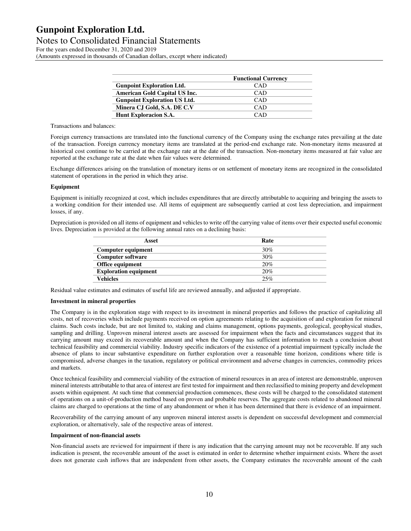Notes to Consolidated Financial Statements For the years ended December 31, 2020 and 2019 (Amounts expressed in thousands of Canadian dollars, except where indicated)

|                                     | <b>Functional Currency</b> |
|-------------------------------------|----------------------------|
| <b>Gunpoint Exploration Ltd.</b>    | CAD                        |
| American Gold Capital US Inc.       | <b>CAD</b>                 |
| <b>Gunpoint Exploration US Ltd.</b> | CAD                        |
| Minera CJ Gold, S.A. DE C.V         | CAD                        |
| <b>Hunt Exploracion S.A.</b>        | CAD                        |
|                                     |                            |

Transactions and balances:

Foreign currency transactions are translated into the functional currency of the Company using the exchange rates prevailing at the date of the transaction. Foreign currency monetary items are translated at the period-end exchange rate. Non-monetary items measured at historical cost continue to be carried at the exchange rate at the date of the transaction. Non-monetary items measured at fair value are reported at the exchange rate at the date when fair values were determined.

Exchange differences arising on the translation of monetary items or on settlement of monetary items are recognized in the consolidated statement of operations in the period in which they arise.

#### **Equipment**

Equipment is initially recognized at cost, which includes expenditures that are directly attributable to acquiring and bringing the assets to a working condition for their intended use. All items of equipment are subsequently carried at cost less depreciation, and impairment losses, if any.

Depreciation is provided on all items of equipment and vehicles to write off the carrying value of items over their expected useful economic lives. Depreciation is provided at the following annual rates on a declining basis:

| Asset                        | Rate |
|------------------------------|------|
| Computer equipment           | 30%  |
| <b>Computer software</b>     | 30%  |
| <b>Office equipment</b>      | 20%  |
| <b>Exploration equipment</b> | 20%  |
| Vehicles                     | 25%  |

Residual value estimates and estimates of useful life are reviewed annually, and adjusted if appropriate.

#### **Investment in mineral properties**

The Company is in the exploration stage with respect to its investment in mineral properties and follows the practice of capitalizing all costs, net of recoveries which include payments received on option agreements relating to the acquisition of and exploration for mineral claims. Such costs include, but are not limited to, staking and claims management, options payments, geological, geophysical studies, sampling and drilling. Unproven mineral interest assets are assessed for impairment when the facts and circumstances suggest that its carrying amount may exceed its recoverable amount and when the Company has sufficient information to reach a conclusion about technical feasibility and commercial viability. Industry specific indicators of the existence of a potential impairment typically include the absence of plans to incur substantive expenditure on further exploration over a reasonable time horizon, conditions where title is compromised, adverse changes in the taxation, regulatory or political environment and adverse changes in currencies, commodity prices and markets.

Once technical feasibility and commercial viability of the extraction of mineral resources in an area of interest are demonstrable, unproven mineral interests attributable to that area of interest are first tested for impairment and then reclassified to mining property and development assets within equipment. At such time that commercial production commences, these costs will be charged to the consolidated statement of operations on a unit-of-production method based on proven and probable reserves. The aggregate costs related to abandoned mineral claims are charged to operations at the time of any abandonment or when it has been determined that there is evidence of an impairment.

Recoverability of the carrying amount of any unproven mineral interest assets is dependent on successful development and commercial exploration, or alternatively, sale of the respective areas of interest.

#### **Impairment of non-financial assets**

Non-financial assets are reviewed for impairment if there is any indication that the carrying amount may not be recoverable. If any such indication is present, the recoverable amount of the asset is estimated in order to determine whether impairment exists. Where the asset does not generate cash inflows that are independent from other assets, the Company estimates the recoverable amount of the cash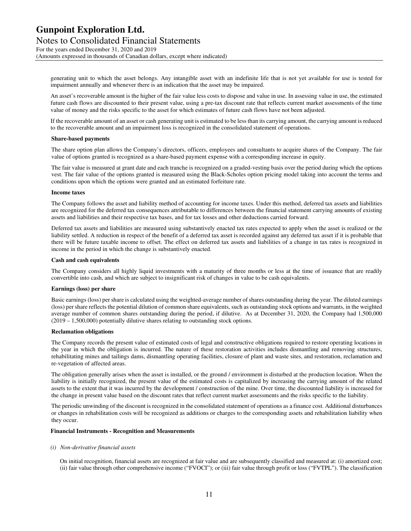generating unit to which the asset belongs. Any intangible asset with an indefinite life that is not yet available for use is tested for impairment annually and whenever there is an indication that the asset may be impaired.

An asset's recoverable amount is the higher of the fair value less costs to dispose and value in use. In assessing value in use, the estimated future cash flows are discounted to their present value, using a pre-tax discount rate that reflects current market assessments of the time value of money and the risks specific to the asset for which estimates of future cash flows have not been adjusted.

If the recoverable amount of an asset or cash generating unit is estimated to be less than its carrying amount, the carrying amount is reduced to the recoverable amount and an impairment loss is recognized in the consolidated statement of operations.

#### **Share-based payments**

The share option plan allows the Company's directors, officers, employees and consultants to acquire shares of the Company. The fair value of options granted is recognized as a share-based payment expense with a corresponding increase in equity.

The fair value is measured at grant date and each tranche is recognized on a graded-vesting basis over the period during which the options vest. The fair value of the options granted is measured using the Black-Scholes option pricing model taking into account the terms and conditions upon which the options were granted and an estimated forfeiture rate.

#### **Income taxes**

The Company follows the asset and liability method of accounting for income taxes. Under this method, deferred tax assets and liabilities are recognized for the deferred tax consequences attributable to differences between the financial statement carrying amounts of existing assets and liabilities and their respective tax bases, and for tax losses and other deductions carried forward.

Deferred tax assets and liabilities are measured using substantively enacted tax rates expected to apply when the asset is realized or the liability settled. A reduction in respect of the benefit of a deferred tax asset is recorded against any deferred tax asset if it is probable that there will be future taxable income to offset. The effect on deferred tax assets and liabilities of a change in tax rates is recognized in income in the period in which the change is substantively enacted.

#### **Cash and cash equivalents**

The Company considers all highly liquid investments with a maturity of three months or less at the time of issuance that are readily convertible into cash, and which are subject to insignificant risk of changes in value to be cash equivalents.

#### **Earnings (loss) per share**

Basic earnings (loss) per share is calculated using the weighted-average number of shares outstanding during the year. The diluted earnings (loss) per share reflects the potential dilution of common share equivalents, such as outstanding stock options and warrants, in the weighted average number of common shares outstanding during the period, if dilutive. As at December 31, 2020, the Company had 1,500,000 (2019 – 1,500,000) potentially dilutive shares relating to outstanding stock options.

#### **Reclamation obligations**

The Company records the present value of estimated costs of legal and constructive obligations required to restore operating locations in the year in which the obligation is incurred. The nature of these restoration activities includes dismantling and removing structures, rehabilitating mines and tailings dams, dismantling operating facilities, closure of plant and waste sites, and restoration, reclamation and re-vegetation of affected areas.

The obligation generally arises when the asset is installed, or the ground / environment is disturbed at the production location. When the liability is initially recognized, the present value of the estimated costs is capitalized by increasing the carrying amount of the related assets to the extent that it was incurred by the development / construction of the mine. Over time, the discounted liability is increased for the change in present value based on the discount rates that reflect current market assessments and the risks specific to the liability.

The periodic unwinding of the discount is recognized in the consolidated statement of operations as a finance cost. Additional disturbances or changes in rehabilitation costs will be recognized as additions or charges to the corresponding assets and rehabilitation liability when they occur.

#### **Financial Instruments - Recognition and Measurements**

#### *(i) Non-derivative financial assets*

On initial recognition, financial assets are recognized at fair value and are subsequently classified and measured at: (i) amortized cost; (ii) fair value through other comprehensive income ("FVOCI"); or (iii) fair value through profit or loss ("FVTPL"). The classification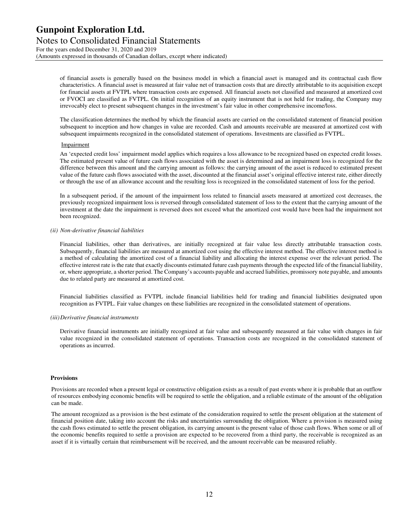Notes to Consolidated Financial Statements For the years ended December 31, 2020 and 2019 (Amounts expressed in thousands of Canadian dollars, except where indicated)

> of financial assets is generally based on the business model in which a financial asset is managed and its contractual cash flow characteristics. A financial asset is measured at fair value net of transaction costs that are directly attributable to its acquisition except for financial assets at FVTPL where transaction costs are expensed. All financial assets not classified and measured at amortized cost or FVOCI are classified as FVTPL. On initial recognition of an equity instrument that is not held for trading, the Company may irrevocably elect to present subsequent changes in the investment's fair value in other comprehensive income/loss.

> The classification determines the method by which the financial assets are carried on the consolidated statement of financial position subsequent to inception and how changes in value are recorded. Cash and amounts receivable are measured at amortized cost with subsequent impairments recognized in the consolidated statement of operations. Investments are classified as FVTPL.

#### **Impairment**

An 'expected credit loss' impairment model applies which requires a loss allowance to be recognized based on expected credit losses. The estimated present value of future cash flows associated with the asset is determined and an impairment loss is recognized for the difference between this amount and the carrying amount as follows: the carrying amount of the asset is reduced to estimated present value of the future cash flows associated with the asset, discounted at the financial asset's original effective interest rate, either directly or through the use of an allowance account and the resulting loss is recognized in the consolidated statement of loss for the period.

In a subsequent period, if the amount of the impairment loss related to financial assets measured at amortized cost decreases, the previously recognized impairment loss is reversed through consolidated statement of loss to the extent that the carrying amount of the investment at the date the impairment is reversed does not exceed what the amortized cost would have been had the impairment not been recognized.

#### *(ii) Non-derivative financial liabilities*

Financial liabilities, other than derivatives, are initially recognized at fair value less directly attributable transaction costs. Subsequently, financial liabilities are measured at amortized cost using the effective interest method. The effective interest method is a method of calculating the amortized cost of a financial liability and allocating the interest expense over the relevant period. The effective interest rate is the rate that exactly discounts estimated future cash payments through the expected life of the financial liability, or, where appropriate, a shorter period. The Company's accounts payable and accrued liabilities, promissory note payable, and amounts due to related party are measured at amortized cost.

Financial liabilities classified as FVTPL include financial liabilities held for trading and financial liabilities designated upon recognition as FVTPL. Fair value changes on these liabilities are recognized in the consolidated statement of operations.

#### *(iii)Derivative financial instruments*

Derivative financial instruments are initially recognized at fair value and subsequently measured at fair value with changes in fair value recognized in the consolidated statement of operations. Transaction costs are recognized in the consolidated statement of operations as incurred.

#### **Provisions**

Provisions are recorded when a present legal or constructive obligation exists as a result of past events where it is probable that an outflow of resources embodying economic benefits will be required to settle the obligation, and a reliable estimate of the amount of the obligation can be made.

The amount recognized as a provision is the best estimate of the consideration required to settle the present obligation at the statement of financial position date, taking into account the risks and uncertainties surrounding the obligation. Where a provision is measured using the cash flows estimated to settle the present obligation, its carrying amount is the present value of those cash flows. When some or all of the economic benefits required to settle a provision are expected to be recovered from a third party, the receivable is recognized as an asset if it is virtually certain that reimbursement will be received, and the amount receivable can be measured reliably.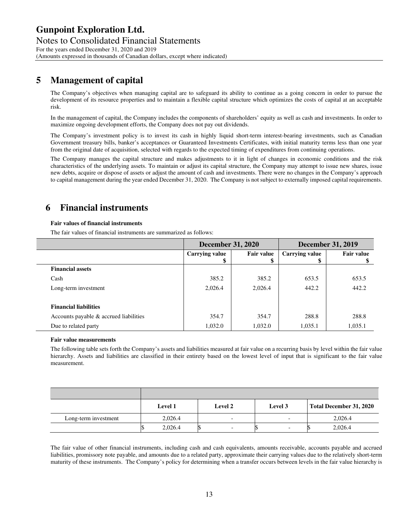### **5 Management of capital**

The Company's objectives when managing capital are to safeguard its ability to continue as a going concern in order to pursue the development of its resource properties and to maintain a flexible capital structure which optimizes the costs of capital at an acceptable risk.

In the management of capital, the Company includes the components of shareholders' equity as well as cash and investments. In order to maximize ongoing development efforts, the Company does not pay out dividends.

The Company's investment policy is to invest its cash in highly liquid short-term interest-bearing investments, such as Canadian Government treasury bills, banker's acceptances or Guaranteed Investments Certificates, with initial maturity terms less than one year from the original date of acquisition, selected with regards to the expected timing of expenditures from continuing operations.

The Company manages the capital structure and makes adjustments to it in light of changes in economic conditions and the risk characteristics of the underlying assets. To maintain or adjust its capital structure, the Company may attempt to issue new shares, issue new debts, acquire or dispose of assets or adjust the amount of cash and investments. There were no changes in the Company's approach to capital management during the year ended December 31, 2020. The Company is not subject to externally imposed capital requirements.

### **6 Financial instruments**

### **Fair values of financial instruments**

The fair values of financial instruments are summarized as follows:

|                                        | <b>December 31, 2020</b> |            | <b>December 31, 2019</b> |                   |  |
|----------------------------------------|--------------------------|------------|--------------------------|-------------------|--|
|                                        | <b>Carrying value</b>    | Fair value | <b>Carrying value</b>    | <b>Fair value</b> |  |
|                                        |                          | \$         | Φ                        |                   |  |
| <b>Financial assets</b>                |                          |            |                          |                   |  |
| Cash                                   | 385.2                    | 385.2      | 653.5                    | 653.5             |  |
| Long-term investment                   | 2,026.4                  | 2,026.4    | 442.2                    | 442.2             |  |
| <b>Financial liabilities</b>           |                          |            |                          |                   |  |
| Accounts payable & accrued liabilities | 354.7                    | 354.7      | 288.8                    | 288.8             |  |
| Due to related party                   | 1,032.0                  | 1,032.0    | 1,035.1                  | 1,035.1           |  |

### **Fair value measurements**

The following table sets forth the Company's assets and liabilities measured at fair value on a recurring basis by level within the fair value hierarchy. Assets and liabilities are classified in their entirety based on the lowest level of input that is significant to the fair value measurement.

|                      | <b>Level 1</b> | Level 2                  | Level 3                  | Total December 31, 2020 |
|----------------------|----------------|--------------------------|--------------------------|-------------------------|
| Long-term investment | 2,026.4        | $\overline{\phantom{0}}$ | $\overline{\phantom{0}}$ | 2,026.4                 |
|                      | 2,026.4        | $\overline{\phantom{0}}$ | $\overline{\phantom{0}}$ | 2,026.4                 |

The fair value of other financial instruments, including cash and cash equivalents, amounts receivable, accounts payable and accrued liabilities, promissory note payable, and amounts due to a related party, approximate their carrying values due to the relatively short-term maturity of these instruments. The Company's policy for determining when a transfer occurs between levels in the fair value hierarchy is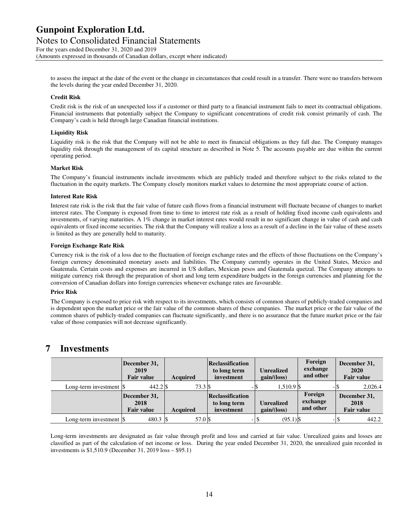Notes to Consolidated Financial Statements For the years ended December 31, 2020 and 2019 (Amounts expressed in thousands of Canadian dollars, except where indicated)

to assess the impact at the date of the event or the change in circumstances that could result in a transfer. There were no transfers between the levels during the year ended December 31, 2020.

#### **Credit Risk**

Credit risk is the risk of an unexpected loss if a customer or third party to a financial instrument fails to meet its contractual obligations. Financial instruments that potentially subject the Company to significant concentrations of credit risk consist primarily of cash. The Company's cash is held through large Canadian financial institutions.

#### **Liquidity Risk**

Liquidity risk is the risk that the Company will not be able to meet its financial obligations as they fall due. The Company manages liquidity risk through the management of its capital structure as described in Note 5. The accounts payable are due within the current operating period.

#### **Market Risk**

The Company's financial instruments include investments which are publicly traded and therefore subject to the risks related to the fluctuation in the equity markets. The Company closely monitors market values to determine the most appropriate course of action.

#### **Interest Rate Risk**

Interest rate risk is the risk that the fair value of future cash flows from a financial instrument will fluctuate because of changes to market interest rates. The Company is exposed from time to time to interest rate risk as a result of holding fixed income cash equivalents and investments, of varying maturities. A 1% change in market interest rates would result in no significant change in value of cash and cash equivalents or fixed income securities. The risk that the Company will realize a loss as a result of a decline in the fair value of these assets is limited as they are generally held to maturity.

#### **Foreign Exchange Rate Risk**

Currency risk is the risk of a loss due to the fluctuation of foreign exchange rates and the effects of those fluctuations on the Company's foreign currency denominated monetary assets and liabilities. The Company currently operates in the United States, Mexico and Guatemala. Certain costs and expenses are incurred in US dollars, Mexican pesos and Guatemala quetzal. The Company attempts to mitigate currency risk through the preparation of short and long term expenditure budgets in the foreign currencies and planning for the conversion of Canadian dollars into foreign currencies whenever exchange rates are favourable.

#### **Price Risk**

The Company is exposed to price risk with respect to its investments, which consists of common shares of publicly-traded companies and is dependent upon the market price or the fair value of the common shares of these companies. The market price or the fair value of the common shares of publicly-traded companies can fluctuate significantly, and there is no assurance that the future market price or the fair value of those companies will not decrease significantly.

### **7 Investments**

|                                                | December 31,<br>2019<br><b>Fair value</b> | <b>Acquired</b> | Reclassification<br>to long term<br>investment | <b>Unrealized</b><br>gain/(loss) | Foreign<br>exchange<br>and other | December 31,<br>2020<br><b>Fair value</b> |
|------------------------------------------------|-------------------------------------------|-----------------|------------------------------------------------|----------------------------------|----------------------------------|-------------------------------------------|
| Long-term investment $\vert \mathcal{S} \vert$ | $442.2$ \\$                               | 73.3 \$         | - 17                                           | 1,510.9 \$                       |                                  | 2,026.4<br>הו-                            |
|                                                | December 31,<br>2018<br><b>Fair value</b> | <b>Acquired</b> | Reclassification<br>to long term<br>investment | <b>Unrealized</b><br>gain/(loss) | Foreign<br>exchange<br>and other | December 31,<br>2018<br><b>Fair value</b> |
| Long-term investment $\vert \mathcal{S} \vert$ | 480.3 \$                                  | 57.0 \$         |                                                | $(95.1)$ \$<br>- S               |                                  | 442.2<br>- 10                             |

Long-term investments are designated as fair value through profit and loss and carried at fair value. Unrealized gains and losses are classified as part of the calculation of net income or loss. During the year ended December 31, 2020, the unrealized gain recorded in investments is \$1,510.9 (December 31, 2019 loss – \$95.1)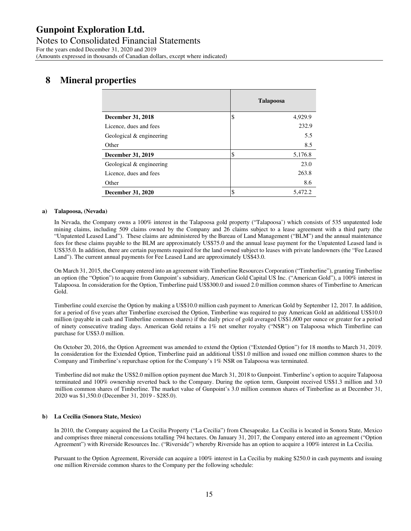Notes to Consolidated Financial Statements For the years ended December 31, 2020 and 2019 (Amounts expressed in thousands of Canadian dollars, except where indicated)

### **8 Mineral properties**

|                          | <b>Talapoosa</b> |
|--------------------------|------------------|
| December 31, 2018        | 4,929.9          |
| Licence, dues and fees   | 232.9            |
| Geological & engineering | 5.5              |
| Other                    | 8.5              |
| December 31, 2019        | \$<br>5,176.8    |
| Geological & engineering | 23.0             |
| Licence, dues and fees   | 263.8            |
| Other                    | 8.6              |
| December 31, 2020        | \$<br>5,472.2    |

### **a) Talapoosa, (Nevada)**

In Nevada, the Company owns a 100% interest in the Talapoosa gold property ("Talapoosa') which consists of 535 unpatented lode mining claims, including 509 claims owned by the Company and 26 claims subject to a lease agreement with a third party (the "Unpatented Leased Land"). These claims are administered by the Bureau of Land Management ("BLM") and the annual maintenance fees for these claims payable to the BLM are approximately US\$75.0 and the annual lease payment for the Unpatented Leased land is US\$35.0. In addition, there are certain payments required for the land owned subject to leases with private landowners (the "Fee Leased Land"). The current annual payments for Fee Leased Land are approximately US\$43.0.

On March 31, 2015, the Company entered into an agreement with Timberline Resources Corporation ("Timberline"), granting Timberline an option (the "Option") to acquire from Gunpoint's subsidiary, American Gold Capital US Inc. ("American Gold"), a 100% interest in Talapoosa. In consideration for the Option, Timberline paid US\$300.0 and issued 2.0 million common shares of Timberline to American Gold.

Timberline could exercise the Option by making a US\$10.0 million cash payment to American Gold by September 12, 2017. In addition, for a period of five years after Timberline exercised the Option, Timberline was required to pay American Gold an additional US\$10.0 million (payable in cash and Timberline common shares) if the daily price of gold averaged US\$1,600 per ounce or greater for a period of ninety consecutive trading days. American Gold retains a 1% net smelter royalty ("NSR") on Talapoosa which Timberline can purchase for US\$3.0 million.

On October 20, 2016, the Option Agreement was amended to extend the Option ("Extended Option") for 18 months to March 31, 2019. In consideration for the Extended Option, Timberline paid an additional US\$1.0 million and issued one million common shares to the Company and Timberline's repurchase option for the Company's 1% NSR on Talapoosa was terminated.

Timberline did not make the US\$2.0 million option payment due March 31, 2018 to Gunpoint. Timberline's option to acquire Talapoosa terminated and 100% ownership reverted back to the Company. During the option term, Gunpoint received US\$1.3 million and 3.0 million common shares of Timberline. The market value of Gunpoint's 3.0 million common shares of Timberline as at December 31, 2020 was \$1,350.0 (December 31, 2019 - \$285.0).

### **b) La Cecilia (Sonora State, Mexico)**

In 2010, the Company acquired the La Cecilia Property ("La Cecilia") from Chesapeake. La Cecilia is located in Sonora State, Mexico and comprises three mineral concessions totalling 794 hectares. On January 31, 2017, the Company entered into an agreement ("Option Agreement") with Riverside Resources Inc. ("Riverside") whereby Riverside has an option to acquire a 100% interest in La Cecilia.

Pursuant to the Option Agreement, Riverside can acquire a 100% interest in La Cecilia by making \$250.0 in cash payments and issuing one million Riverside common shares to the Company per the following schedule: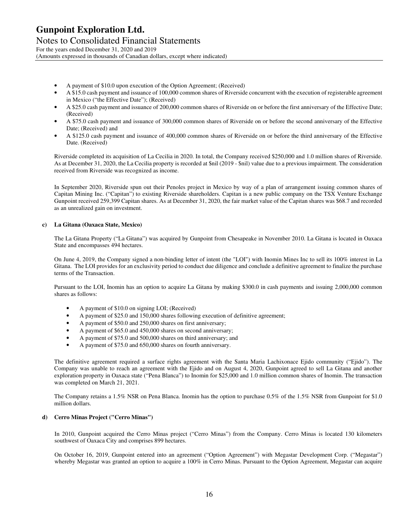Notes to Consolidated Financial Statements For the years ended December 31, 2020 and 2019 (Amounts expressed in thousands of Canadian dollars, except where indicated)

- A payment of \$10.0 upon execution of the Option Agreement; (Received)
- A \$15.0 cash payment and issuance of 100,000 common shares of Riverside concurrent with the execution of registerable agreement in Mexico ("the Effective Date"); (Received)
- A \$25.0 cash payment and issuance of 200,000 common shares of Riverside on or before the first anniversary of the Effective Date; (Received)
- A \$75.0 cash payment and issuance of 300,000 common shares of Riverside on or before the second anniversary of the Effective Date; (Received) and
- A \$125.0 cash payment and issuance of 400,000 common shares of Riverside on or before the third anniversary of the Effective Date. (Received)

Riverside completed its acquisition of La Cecilia in 2020. In total, the Company received \$250,000 and 1.0 million shares of Riverside. As at December 31, 2020, the La Cecilia property is recorded at \$nil (2019 - \$nil) value due to a previous impairment. The consideration received from Riverside was recognized as income.

In September 2020, Riverside spun out their Penoles project in Mexico by way of a plan of arrangement issuing common shares of Capitan Mining Inc. ("Capitan") to existing Riverside shareholders. Capitan is a new public company on the TSX Venture Exchange Gunpoint received 259,399 Capitan shares. As at December 31, 2020, the fair market value of the Capitan shares was \$68.7 and recorded as an unrealized gain on investment.

#### **c) La Gitana (Oaxaca State, Mexico)**

The La Gitana Property ("La Gitana") was acquired by Gunpoint from Chesapeake in November 2010. La Gitana is located in Oaxaca State and encompasses 494 hectares.

On June 4, 2019, the Company signed a non-binding letter of intent (the "LOI") with Inomin Mines Inc to sell its 100% interest in La Gitana. The LOI provides for an exclusivity period to conduct due diligence and conclude a definitive agreement to finalize the purchase terms of the Transaction.

Pursuant to the LOI, Inomin has an option to acquire La Gitana by making \$300.0 in cash payments and issuing 2,000,000 common shares as follows:

- A payment of \$10.0 on signing LOI; (Received)
- A payment of \$25.0 and 150,000 shares following execution of definitive agreement;
- A payment of \$50.0 and 250,000 shares on first anniversary;
- A payment of \$65.0 and 450,000 shares on second anniversary;
- A payment of \$75.0 and 500,000 shares on third anniversary; and
- A payment of \$75.0 and 650,000 shares on fourth anniversary.

The definitive agreement required a surface rights agreement with the Santa Maria Lachixonace Ejido community ("Ejido"). The Company was unable to reach an agreement with the Ejido and on August 4, 2020, Gunpoint agreed to sell La Gitana and another exploration property in Oaxaca state ("Pena Blanca") to Inomin for \$25,000 and 1.0 million common shares of Inomin. The transaction was completed on March 21, 2021.

The Company retains a 1.5% NSR on Pena Blanca. Inomin has the option to purchase 0.5% of the 1.5% NSR from Gunpoint for \$1.0 million dollars.

#### **d) Cerro Minas Project ("Cerro Minas")**

In 2010, Gunpoint acquired the Cerro Minas project ("Cerro Minas") from the Company. Cerro Minas is located 130 kilometers southwest of Oaxaca City and comprises 899 hectares.

On October 16, 2019, Gunpoint entered into an agreement ("Option Agreement") with Megastar Development Corp. ("Megastar") whereby Megastar was granted an option to acquire a 100% in Cerro Minas. Pursuant to the Option Agreement, Megastar can acquire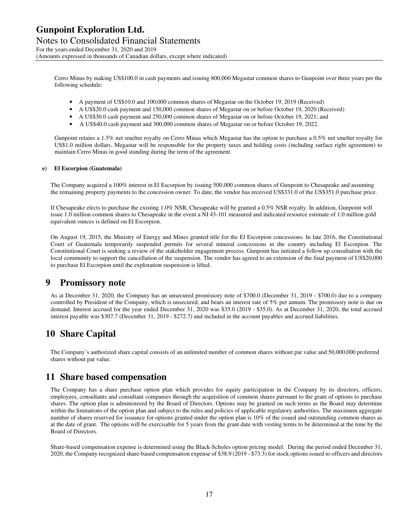Cerro Minas by making US\$100.0 in cash payments and issuing 800,000 Megastar common shares to Gunpoint over three years per the following schedule:

- A payment of US\$10.0 and 100,000 common shares of Megastar on the October 19, 2019 (Received)
- A US\$20.0 cash payment and 150,000 common shares of Megastar on or before October 19, 2020 (Received)
- A US\$30.0 cash payment and 250,000 common shares of Megastar on or before October 19, 2021; and
- A US\$40.0 cash payment and 300,000 common shares of Megastar on or before October 19, 2022.

Gunpoint retains a 1.5% net smelter royalty on Cerro Minas which Megastar has the option to purchase a 0.5% net smelter royalty for US\$1.0 million dollars. Megastar will be responsible for the property taxes and holding costs (including surface right agreement) to maintain Cerro Minas in good standing during the term of the agreement.

#### **e) El Escorpion (Guatemala)**

The Company acquired a 100% interest in El Escorpion by issuing 500,000 common shares of Gunpoint to Chesapeake and assuming the remaining property payments to the concession owner. To date, the vendor has received US\$331.0 of the US\$351.0 purchase price.

If Chesapeake elects to purchase the existing 1.0% NSR, Chesapeake will be granted a 0.5% NSR royalty. In addition, Gunpoint will issue 1.0 million common shares to Chesapeake in the event a NI 43-101 measured and indicated resource estimate of 1.0 million gold equivalent ounces is defined on El Escorpion.

On August 19, 2015, the Ministry of Energy and Mines granted title for the El Escorpion concessions. In late 2016, the Constitutional Court of Guatemala temporarily suspended permits for several mineral concessions in the country including El Escorpion. The Constitutional Court is seeking a review of the stakeholder engagement process. Gunpoint has initiated a follow up consultation with the local community to support the cancellation of the suspension. The vendor has agreed to an extension of the final payment of US\$20,000 to purchase El Escorpion until the exploration suspension is lifted.

### **9 Promissory note**

As at December 31, 2020, the Company has an unsecured promissory note of \$700.0 (December 31, 2019 - \$700.0) due to a company controlled by President of the Company, which is unsecured, and bears an interest rate of 5% per annum. The promissory note is due on demand. Interest accrued for the year ended December 31, 2020 was \$35.0 (2019 - \$35.0). As at December 31, 2020, the total accrued interest payable was \$307.7 (December 31, 2019 - \$272.7) and included in the account payables and accrued liabilities.

### **10 Share Capital**

The Company's authorized share capital consists of an unlimited number of common shares without par value and 50,000,000 preferred shares without par value.

### **11 Share based compensation**

The Company has a share purchase option plan which provides for equity participation in the Company by its directors, officers, employees, consultants and consultant companies through the acquisition of common shares pursuant to the grant of options to purchase shares. The option plan is administered by the Board of Directors. Options may be granted on such terms as the Board may determine within the limitations of the option plan and subject to the rules and policies of applicable regulatory authorities. The maximum aggregate number of shares reserved for issuance for options granted under the option plan is 10% of the issued and outstanding common shares as at the date of grant. The options will be exercisable for 5 years from the grant date with vesting terms to be determined at the time by the Board of Directors.

Share-based compensation expense is determined using the Black-Scholes option pricing model. During the period ended December 31, 2020, the Company recognized share-based compensation expense of \$38.9 (2019 - \$73.3) for stock options issued to officers and directors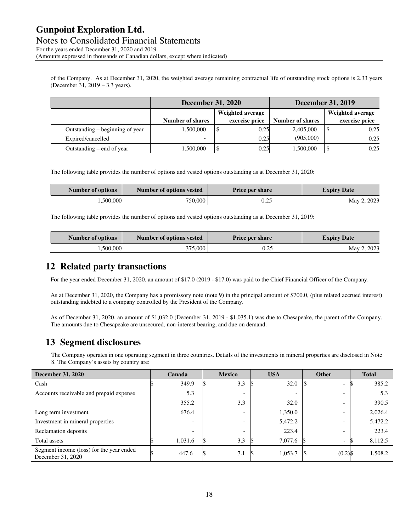Notes to Consolidated Financial Statements For the years ended December 31, 2020 and 2019 (Amounts expressed in thousands of Canadian dollars, except where indicated)

of the Company. As at December 31, 2020, the weighted average remaining contractual life of outstanding stock options is 2.33 years (December 31, 2019 – 3.3 years).

|                                 | <b>December 31, 2020</b> |                  | <b>December 31, 2019</b> |   |                  |  |  |
|---------------------------------|--------------------------|------------------|--------------------------|---|------------------|--|--|
|                                 |                          | Weighted average |                          |   | Weighted average |  |  |
|                                 | <b>Number of shares</b>  | exercise price   | <b>Number of shares</b>  |   | exercise price   |  |  |
| Outstanding – beginning of year | 1,500,000                | 0.25             | 2,405,000                | S | 0.25             |  |  |
| Expired/cancelled               | $\overline{\phantom{0}}$ | 0.25             | (905,000)                |   | 0.25             |  |  |
| Outstanding – end of year       | 1,500,000                | 0.25             | 1,500,000                | S | 0.25             |  |  |

The following table provides the number of options and vested options outstanding as at December 31, 2020:

| Number of options | Number of options vested | <b>Price per share</b> | <b>Expiry Date</b> |
|-------------------|--------------------------|------------------------|--------------------|
| 1,500,000         | 750.000                  | 0.25                   | May 2, 2023        |

The following table provides the number of options and vested options outstanding as at December 31, 2019:

| Number of options | Number of options vested | <b>Price per share</b> | <b>Expiry Date</b> |
|-------------------|--------------------------|------------------------|--------------------|
| ۔ 500,000.        | 375.000                  | U.ZJ                   | May 2, 2023        |

### **12 Related party transactions**

For the year ended December 31, 2020, an amount of \$17.0 (2019 - \$17.0) was paid to the Chief Financial Officer of the Company.

As at December 31, 2020, the Company has a promissory note (note 9) in the principal amount of \$700.0, (plus related accrued interest) outstanding indebted to a company controlled by the President of the Company.

As of December 31, 2020, an amount of \$1,032.0 (December 31, 2019 - \$1,035.1) was due to Chesapeake, the parent of the Company. The amounts due to Chesapeake are unsecured, non-interest bearing, and due on demand.

### **13 Segment disclosures**

The Company operates in one operating segment in three countries. Details of the investments in mineral properties are disclosed in Note 8. The Company's assets by country are:

| <b>December 31, 2020</b>                                      | Canada                   | <b>Mexico</b>            | <b>USA</b>               | <b>Other</b> | <b>Total</b> |  |
|---------------------------------------------------------------|--------------------------|--------------------------|--------------------------|--------------|--------------|--|
| Cash                                                          | 349.9                    | 3.3                      | 32.0                     |              | 385.2        |  |
| Accounts receivable and prepaid expense                       | 5.3                      | -                        | $\overline{\phantom{0}}$ |              | 5.3          |  |
|                                                               | 355.2                    | 3.3                      | 32.0                     |              | 390.5        |  |
| Long term investment                                          | 676.4                    | -                        | 1,350.0                  | -            | 2,026.4      |  |
| Investment in mineral properties                              | $\overline{\phantom{0}}$ | $\overline{\phantom{0}}$ | 5,472.2                  |              | 5,472.2      |  |
| Reclamation deposits                                          | $\overline{\phantom{0}}$ | $\overline{\phantom{0}}$ | 223.4                    |              | 223.4        |  |
| Total assets                                                  | 1,031.6                  | 3.3                      | 7,077.6 \$               |              | 8,112.5      |  |
| Segment income (loss) for the year ended<br>December 31, 2020 | 447.6                    | 7.1                      | 1,053.7                  | $(0.2)$ \$   | 1,508.2      |  |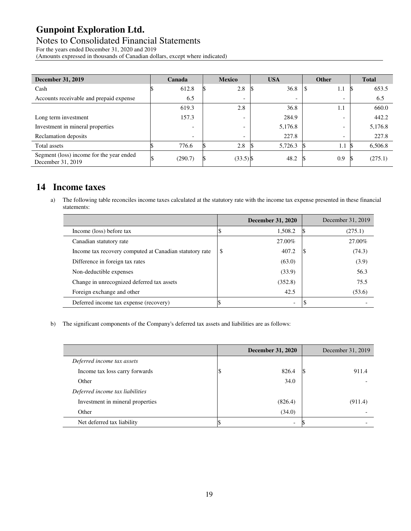Notes to Consolidated Financial Statements

For the years ended December 31, 2020 and 2019

(Amounts expressed in thousands of Canadian dollars, except where indicated)

| <b>December 31, 2019</b>                                      | Canada                   | <b>Mexico</b>            | <b>USA</b>               |      | <b>Other</b>             |     | <b>Total</b> |  |
|---------------------------------------------------------------|--------------------------|--------------------------|--------------------------|------|--------------------------|-----|--------------|--|
| Cash                                                          | 612.8                    | 2.8                      | 36.8                     |      | 1.1                      |     | 653.5        |  |
| Accounts receivable and prepaid expense                       | 6.5                      | -                        | $\overline{\phantom{0}}$ |      | $\overline{\phantom{0}}$ |     | 6.5          |  |
|                                                               | 619.3                    | 2.8                      | 36.8                     |      | 1.1                      |     | 660.0        |  |
| Long term investment                                          | 157.3                    |                          | 284.9                    |      | $\overline{\phantom{a}}$ |     | 442.2        |  |
| Investment in mineral properties                              | $\overline{\phantom{0}}$ | $\overline{\phantom{0}}$ | 5,176.8                  |      | $\overline{\phantom{a}}$ |     | 5,176.8      |  |
| Reclamation deposits                                          | $\overline{\phantom{0}}$ | $\overline{\phantom{0}}$ | 227.8                    |      | $\overline{\phantom{0}}$ |     | 227.8        |  |
| Total assets                                                  | 776.6                    | 2.8                      | 5,726.3                  | - 15 | 1.1                      | ĽЪ. | 6,506.8      |  |
| Segment (loss) income for the year ended<br>December 31, 2019 | (290.7)                  | $(33.5)$ \$              | 48.2                     | -8   | 0.9                      |     | (275.1)      |  |

### **14 Income taxes**

a) The following table reconciles income taxes calculated at the statutory rate with the income tax expense presented in these financial statements:

|                                                         | <b>December 31, 2020</b> |    | December 31, 2019 |
|---------------------------------------------------------|--------------------------|----|-------------------|
| Income (loss) before tax                                | 1,508.2                  |    | (275.1)           |
| Canadian statutory rate                                 | 27.00%                   |    | 27.00%            |
| Income tax recovery computed at Canadian statutory rate | \$<br>407.2              | -S | (74.3)            |
| Difference in foreign tax rates                         | (63.0)                   |    | (3.9)             |
| Non-deductible expenses                                 | (33.9)                   |    | 56.3              |
| Change in unrecognized deferred tax assets              | (352.8)                  |    | 75.5              |
| Foreign exchange and other                              | 42.5                     |    | (53.6)            |
| Deferred income tax expense (recovery)                  | -                        |    |                   |

b) The significant components of the Company's deferred tax assets and liabilities are as follows:

|                                  | <b>December 31, 2020</b> | December 31, 2019 |
|----------------------------------|--------------------------|-------------------|
| Deferred income tax assets       |                          |                   |
| Income tax loss carry forwards   | 826.4                    | 911.4             |
| Other                            | 34.0                     |                   |
| Deferred income tax liabilities  |                          |                   |
| Investment in mineral properties | (826.4)                  | (911.4)           |
| Other                            | (34.0)                   |                   |
| Net deferred tax liability       | $\overline{\phantom{0}}$ |                   |